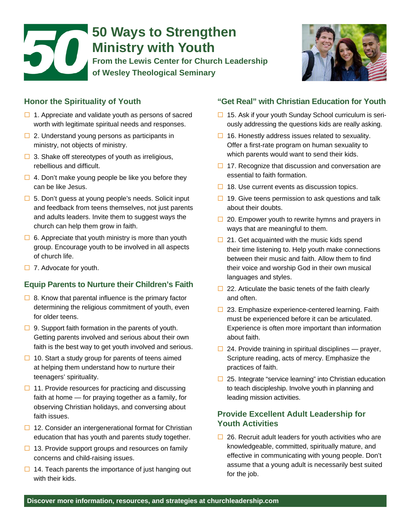# 50 **50 Ways to Strengthen Ministry with Youth From the Lewis Center for Church Leadership of Wesley Theological Seminary**



#### **Honor the Spirituality of Youth**

- $\Box$  1. Appreciate and validate youth as persons of sacred worth with legitimate spiritual needs and responses.
- $\Box$  2. Understand young persons as participants in ministry, not objects of ministry.
- $\Box$  3. Shake off stereotypes of youth as irreligious, rebellious and difficult.
- $\Box$  4. Don't make young people be like you before they can be like Jesus.
- $\Box$  5. Don't guess at young people's needs. Solicit input and feedback from teens themselves, not just parents and adults leaders. Invite them to suggest ways the church can help them grow in faith.
- $\Box$  6. Appreciate that youth ministry is more than youth group. Encourage youth to be involved in all aspects of church life.
- $\Box$  7. Advocate for youth.

#### **Equip Parents to Nurture their Children's Faith**

- $\Box$  8. Know that parental influence is the primary factor determining the religious commitment of youth, even for older teens.
- $\Box$  9. Support faith formation in the parents of youth. Getting parents involved and serious about their own faith is the best way to get youth involved and serious.
- $\Box$  10. Start a study group for parents of teens aimed at helping them understand how to nurture their teenagers' spirituality.
- $\Box$  11. Provide resources for practicing and discussing faith at home — for praying together as a family, for observing Christian holidays, and conversing about faith issues.
- $\Box$  12. Consider an intergenerational format for Christian education that has youth and parents study together.
- $\Box$  13. Provide support groups and resources on family concerns and child-raising issues.
- $\Box$  14. Teach parents the importance of just hanging out with their kids.

#### **"Get Real" with Christian Education for Youth**

- $\Box$  15. Ask if your youth Sunday School curriculum is seriously addressing the questions kids are really asking.
- $\Box$  16. Honestly address issues related to sexuality. Offer a first-rate program on human sexuality to which parents would want to send their kids.
- $\Box$  17. Recognize that discussion and conversation are essential to faith formation.
- $\Box$  18. Use current events as discussion topics.
- $\Box$  19. Give teens permission to ask questions and talk about their doubts.
- $\Box$  20. Empower youth to rewrite hymns and prayers in ways that are meaningful to them.
- $\Box$  21. Get acquainted with the music kids spend their time listening to. Help youth make connections between their music and faith. Allow them to find their voice and worship God in their own musical languages and styles.
- $\Box$  22. Articulate the basic tenets of the faith clearly and often.
- $\Box$  23. Emphasize experience-centered learning. Faith must be experienced before it can be articulated. Experience is often more important than information about faith.
- $\Box$  24. Provide training in spiritual disciplines prayer, Scripture reading, acts of mercy. Emphasize the practices of faith.
- $\Box$  25. Integrate "service learning" into Christian education to teach discipleship. Involve youth in planning and leading mission activities.

#### **Provide Excellent Adult Leadership for Youth Activities**

 $\Box$  26. Recruit adult leaders for youth activities who are knowledgeable, committed, spiritually mature, and effective in communicating with young people. Don't assume that a young adult is necessarily best suited for the job.